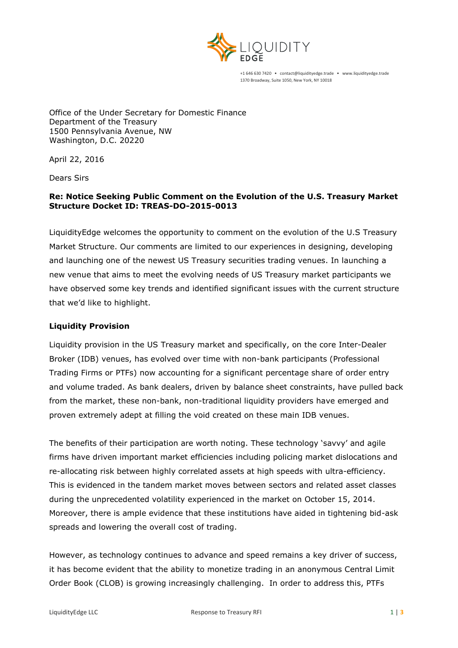

+1 646 630 7420 • contact@liquidityedge.trade • www.liquidityedge.trade 1370 Broadway, Suite 1050, New York, NY 10018

Office of the Under Secretary for Domestic Finance Department of the Treasury 1500 Pennsylvania Avenue, NW Washington, D.C. 20220

April 22, 2016

Dears Sirs

### **Re: Notice Seeking Public Comment on the Evolution of the U.S. Treasury Market Structure Docket ID: TREAS-DO-2015-0013**

LiquidityEdge welcomes the opportunity to comment on the evolution of the U.S Treasury Market Structure. Our comments are limited to our experiences in designing, developing and launching one of the newest US Treasury securities trading venues. In launching a new venue that aims to meet the evolving needs of US Treasury market participants we have observed some key trends and identified significant issues with the current structure that we'd like to highlight.

### **Liquidity Provision**

Liquidity provision in the US Treasury market and specifically, on the core Inter-Dealer Broker (IDB) venues, has evolved over time with non-bank participants (Professional Trading Firms or PTFs) now accounting for a significant percentage share of order entry and volume traded. As bank dealers, driven by balance sheet constraints, have pulled back from the market, these non-bank, non-traditional liquidity providers have emerged and proven extremely adept at filling the void created on these main IDB venues.

The benefits of their participation are worth noting. These technology 'savvy' and agile firms have driven important market efficiencies including policing market dislocations and re-allocating risk between highly correlated assets at high speeds with ultra-efficiency. This is evidenced in the tandem market moves between sectors and related asset classes during the unprecedented volatility experienced in the market on October 15, 2014. Moreover, there is ample evidence that these institutions have aided in tightening bid-ask spreads and lowering the overall cost of trading.

However, as technology continues to advance and speed remains a key driver of success, it has become evident that the ability to monetize trading in an anonymous Central Limit Order Book (CLOB) is growing increasingly challenging. In order to address this, PTFs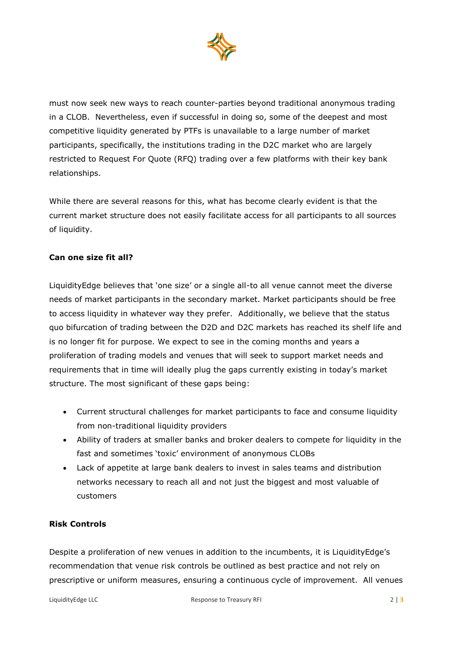

must now seek new ways to reach counter-parties beyond traditional anonymous trading in a CLOB. Nevertheless, even if successful in doing so, some of the deepest and most competitive liquidity generated by PTFs is unavailable to a large number of market participants, specifically, the institutions trading in the D2C market who are largely restricted to Request For Quote (RFQ) trading over a few platforms with their key bank relationships.

While there are several reasons for this, what has become clearly evident is that the current market structure does not easily facilitate access for all participants to all sources of liquidity.

# **Can one size fit all?**

LiquidityEdge believes that 'one size' or a single all-to all venue cannot meet the diverse needs of market participants in the secondary market. Market participants should be free to access liquidity in whatever way they prefer. Additionally, we believe that the status quo bifurcation of trading between the D2D and D2C markets has reached its shelf life and is no longer fit for purpose. We expect to see in the coming months and years a proliferation of trading models and venues that will seek to support market needs and requirements that in time will ideally plug the gaps currently existing in today's market structure. The most significant of these gaps being:

- Current structural challenges for market participants to face and consume liquidity from non-traditional liquidity providers
- Ability of traders at smaller banks and broker dealers to compete for liquidity in the fast and sometimes 'toxic' environment of anonymous CLOBs
- Lack of appetite at large bank dealers to invest in sales teams and distribution networks necessary to reach all and not just the biggest and most valuable of customers

# **Risk Controls**

Despite a proliferation of new venues in addition to the incumbents, it is LiquidityEdge's recommendation that venue risk controls be outlined as best practice and not rely on prescriptive or uniform measures, ensuring a continuous cycle of improvement. All venues